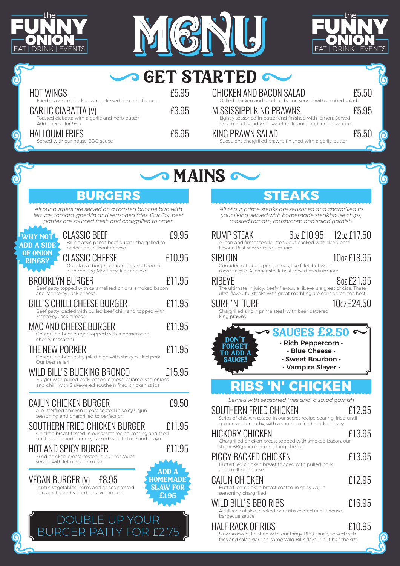





|   |                                                                                                                                                                              |                                                    | <b>SO GET STARTED CO.</b>                                                                                                                                                                                              |                         |
|---|------------------------------------------------------------------------------------------------------------------------------------------------------------------------------|----------------------------------------------------|------------------------------------------------------------------------------------------------------------------------------------------------------------------------------------------------------------------------|-------------------------|
|   | <b>HOT WINGS</b>                                                                                                                                                             | £5.95                                              | <b>CHICKEN AND BACON SALAD</b>                                                                                                                                                                                         | £5.50                   |
|   | Fried seasoned chicken wings, tossed in our hot sauce<br>GARLIC CIABATTA (V)<br>Toasted ciabatta with a garlic and herb butter                                               | £3.95                                              | Grilled chicken and smoked bacon served with a mixed salad<br><b>MISSISSIPPI KING PRAWNS</b><br>Lightly seasoned in batter and finished with lemon. Served<br>on a bed of salad with sweet chili sauce and lemon wedge | £5.95                   |
| 6 | Add cheese for 95p<br><b>HALLOUMI FRIES</b><br>Served with our house BBQ sauce                                                                                               | £5.95                                              | KING PRAWN SALAD<br>Succulent chargrilled prawns finished with a garlic butter                                                                                                                                         | £5.50<br>Q              |
|   |                                                                                                                                                                              |                                                    |                                                                                                                                                                                                                        |                         |
|   |                                                                                                                                                                              |                                                    | <b>SMAINS</b>                                                                                                                                                                                                          |                         |
|   | <b>BURGERS</b>                                                                                                                                                               |                                                    | <b>STEAKS</b>                                                                                                                                                                                                          |                         |
|   | All our burgers are served on a toasted brioche bun with<br>lettuce, tomato, gherkin and seasoned fries. Our 6oz beef<br>patties are sourced fresh and chargrilled to order. |                                                    | All of our prime steaks are seasoned and chargrilled to<br>your liking, served with homemade steakhouse chips,<br>roasted tomato, mushroom and salad garnish.                                                          |                         |
|   | <b>CLASSIC BEEF</b><br><b>NWHY NOT!</b><br>Bill's classic prime beef burger chargrilled to<br><b>ADD A SIDE</b><br>perfection, without cheese                                | £9.95                                              | RUMP STEAK<br>6 <sub>02</sub> £10.95<br>A lean and firmer tender steak but packed with deep beef<br>flavour. Best served medium-rare                                                                                   | 12 <sub>02</sub> £17.50 |
|   | OF ONION<br><b>CLASSIC CHEESE</b><br><b>RINGS?</b><br>Our classic burger, chargrilled and topped<br>with melting Monterey Jack cheese                                        | £10.95                                             | SIRLOIN<br>Considered to be a prime steak, like fillet, but with<br>more flavour. A leaner steak best served medium-rare                                                                                               | 10 <sub>02</sub> £18.95 |
|   | <b>BROOKLYN BURGER</b><br>Beef patty topped with caramelised onions, smoked bacon<br>and Monterey Jack cheese                                                                | £11.95                                             | <b>RIBEYE</b><br>The ultimate in juicy, beefy flavour, a ribeye is a great choice. These                                                                                                                               | 8 <sub>07</sub> £21.95  |
|   | <b>BILL'S CHILLI CHEESE BURGER</b><br>Beef patty loaded with pulled beef chilli and topped with                                                                              | £11.95                                             | ultra-flavourful steaks with great marbling are considered the best!<br>SURF 'N' TURF<br>Chargrilled sirloin prime steak with beer battered                                                                            | 10oz £24.50             |
|   | Monterey Jack cheese<br><b>MAC AND CHEESE BURGER</b><br>Chargrilled beef burger topped with a homemade                                                                       | £11.95                                             | king prawns<br>$\sim$ SAUGES £2.50                                                                                                                                                                                     |                         |
|   | cheesy macaroni<br>THE NEW PORKER<br>Chargrilled beef patty piled high with sticky pulled pork.<br>Our best seller!                                                          | £11.95                                             | <b>DON'T</b><br>$\cdot$ Rich Peppercorn $\cdot$<br><b>FORGET</b><br>· Blue Cheese ·<br>· Sweet Bourbon ·<br>SAHGEI                                                                                                     |                         |
|   | WILD BILL'S BUCKING BRONCO<br>Burger with pulled pork, bacon, cheese, caramelised onions                                                                                     | £15.95                                             | · Vampire Slayer ·                                                                                                                                                                                                     |                         |
|   | and chilli, with 2 skewered southern fried chicken strips                                                                                                                    |                                                    | <b>RIBS 'N' CHICKEN</b>                                                                                                                                                                                                |                         |
|   | CAJUN CHICKEN BURGER<br>A butterflied chicken breast coated in spicy Cajun<br>seasoning and chargrilled to perfection                                                        | £9.50                                              | Served with seasoned fries and a salad garnish<br>SOUTHERN FRIED CHICKEN<br>Strips of chicken tossed in our secret recipe coating, fried until                                                                         | £12.95                  |
|   | SOUTHERN FRIED CHICKEN BURGER<br>Chicken breast tossed in our secret recipe coating and fried<br>until golden and crunchy, served with lettuce and mayo                      | £11.95                                             | golden and crunchy, with a southern fried chicken gravy<br>HICKORY CHICKEN<br>Chargrilled chicken breast topped with smoked bacon, our                                                                                 | £13.95                  |
|   | <b>HOT AND SPICY BURGER</b><br>Fried chicken breast, tossed in our hot sauce,<br>served with lettuce and mayo                                                                | £11.95                                             | sticky BBQ sauce and melting cheese<br>PIGGY BACKED CHICKEN<br>Butterflied chicken breast topped with pulled pork                                                                                                      | £13.95                  |
|   | VEGAN BURGER (V)<br>£8.95<br>Lentils, vegetables, herbs and spices pressed                                                                                                   | <b>ADD A</b><br><b>HOMEMADE</b><br><b>SLAW FOR</b> | and melting cheese<br>CAJUN CHICKEN<br>Butterflied chicken breast coated in spicy Cajun                                                                                                                                | £12.95                  |
|   | into a patty and served on a vegan bun                                                                                                                                       | £1.95                                              | seasoning chargrilled<br>WILD BILL'S BBQ RIBS<br>A full rack of slow cooked pork ribs coated in our house                                                                                                              | £16.95                  |
|   |                                                                                                                                                                              |                                                    | barbecue sauce<br>HALF RACK OF RIBS<br>Slow smoked, finished with our tangy BBQ sauce, served with                                                                                                                     | £10.95                  |
|   |                                                                                                                                                                              |                                                    | fries and salad garnish, same Wild Bill's flavour but half the size                                                                                                                                                    | 0                       |